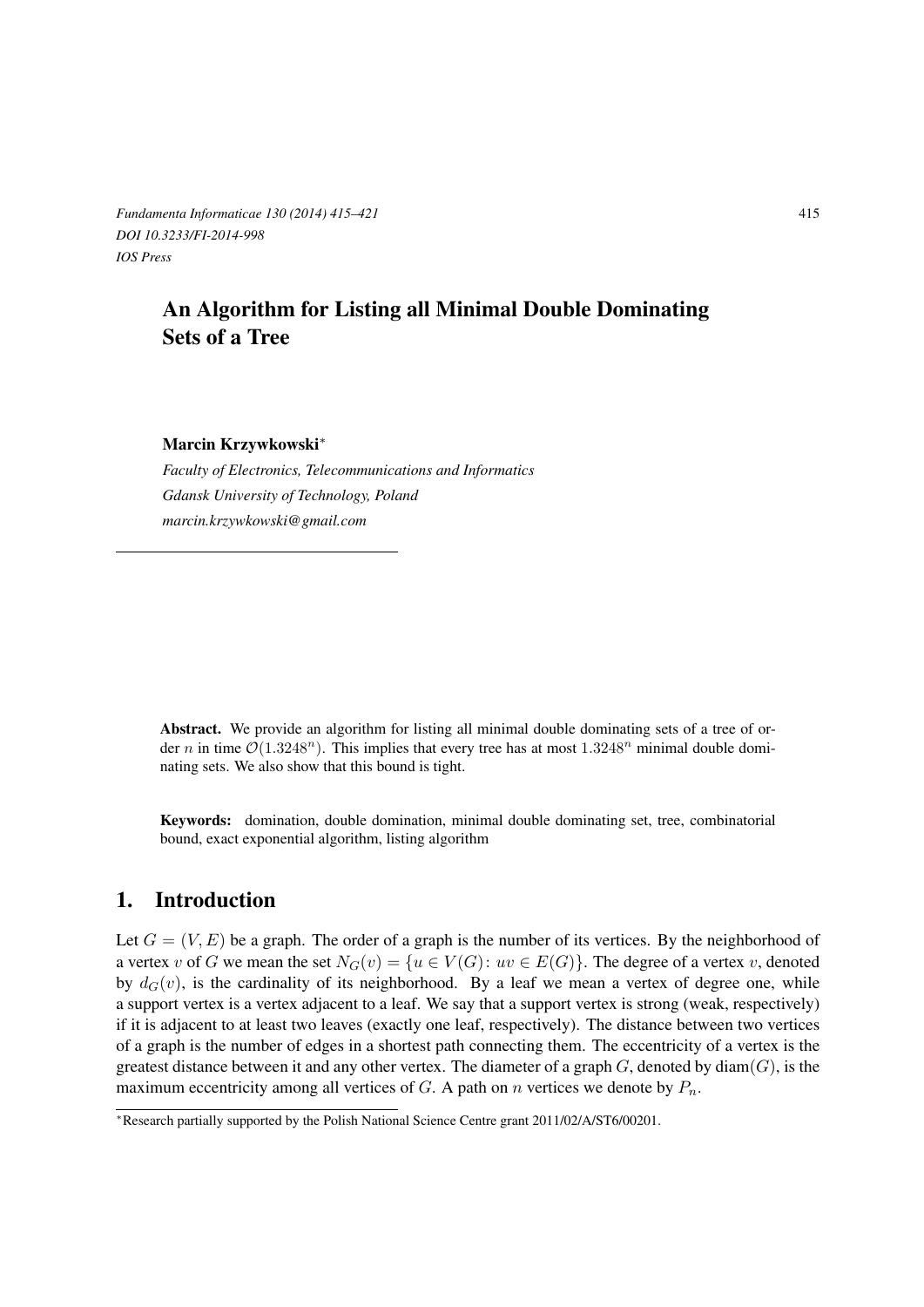*Fundamenta Informaticae 130 (2014) 415–421* 415 *DOI 10.3233/FI-2014-998 IOS Press*

# An Algorithm for Listing all Minimal Double Dominating Sets of a Tree

### Marcin Krzywkowski*∗*

*Faculty of Electronics, Telecommunications and Informatics Gdansk University of Technology, Poland marcin.krzywkowski@gmail.com*

Abstract. We provide an algorithm for listing all minimal double dominating sets of a tree of order *n* in time  $\mathcal{O}(1.3248^n)$ . This implies that every tree has at most  $1.3248^n$  minimal double dominating sets. We also show that this bound is tight.

Keywords: domination, double domination, minimal double dominating set, tree, combinatorial bound, exact exponential algorithm, listing algorithm

## 1. Introduction

Let  $G = (V, E)$  be a graph. The order of a graph is the number of its vertices. By the neighborhood of a vertex *v* of *G* we mean the set  $N_G(v) = \{u \in V(G): uv \in E(G)\}\$ . The degree of a vertex *v*, denoted by  $d_G(v)$ , is the cardinality of its neighborhood. By a leaf we mean a vertex of degree one, while a support vertex is a vertex adjacent to a leaf. We say that a support vertex is strong (weak, respectively) if it is adjacent to at least two leaves (exactly one leaf, respectively). The distance between two vertices of a graph is the number of edges in a shortest path connecting them. The eccentricity of a vertex is the greatest distance between it and any other vertex. The diameter of a graph  $G$ , denoted by diam $(G)$ , is the maximum eccentricity among all vertices of *G*. A path on *n* vertices we denote by  $P_n$ .

*<sup>∗</sup>*Research partially supported by the Polish National Science Centre grant 2011/02/A/ST6/00201.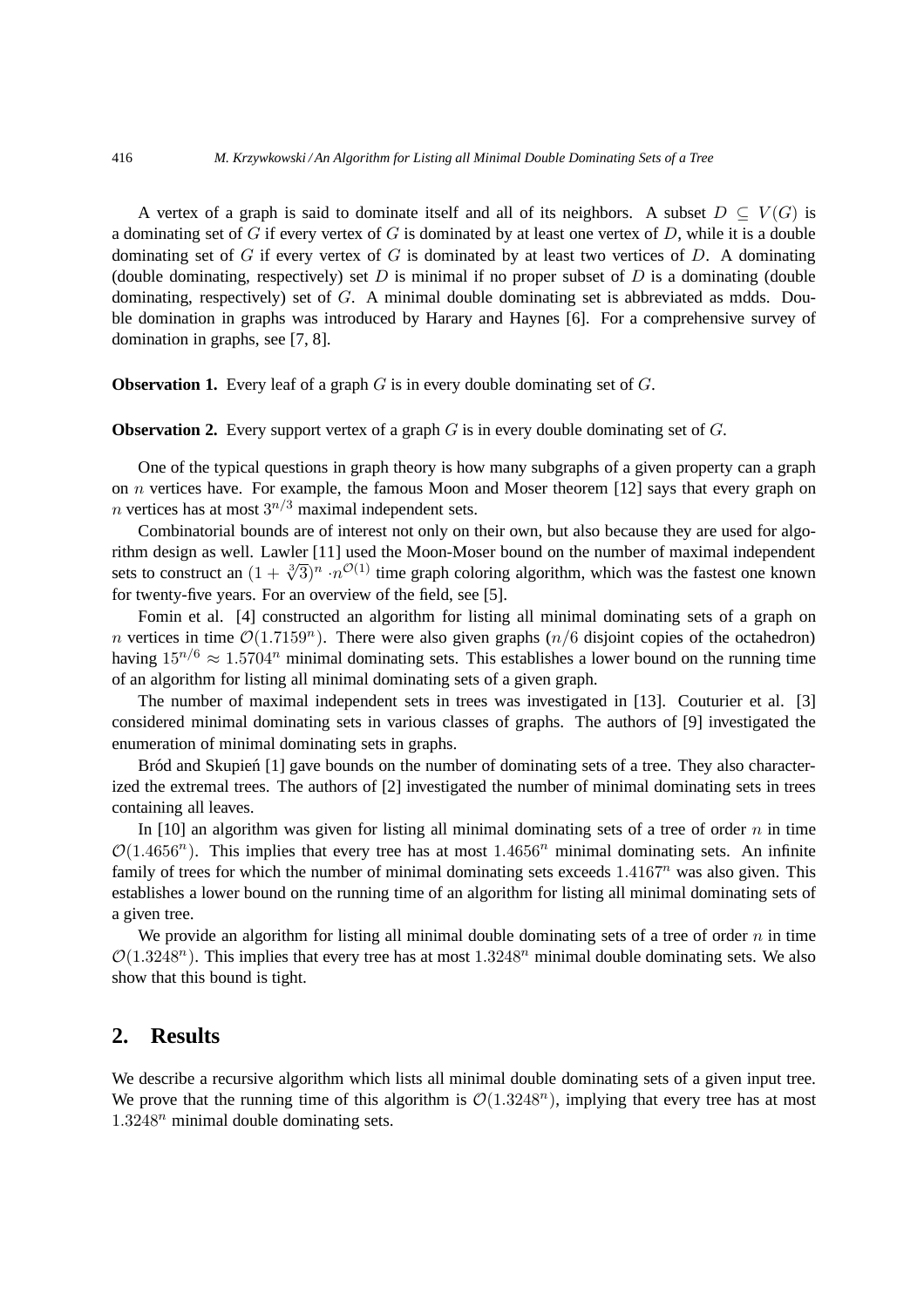A vertex of a graph is said to dominate itself and all of its neighbors. A subset  $D \subseteq V(G)$  is a dominating set of G if every vertex of G is dominated by at least one vertex of D, while it is a double dominating set of  $G$  if every vertex of  $G$  is dominated by at least two vertices of  $D$ . A dominating (double dominating, respectively) set  $D$  is minimal if no proper subset of  $D$  is a dominating (double dominating, respectively) set of G. A minimal double dominating set is abbreviated as mdds. Double domination in graphs was introduced by Harary and Haynes [6]. For a comprehensive survey of domination in graphs, see [7, 8].

**Observation 1.** Every leaf of a graph  $G$  is in every double dominating set of  $G$ .

**Observation 2.** Every support vertex of a graph G is in every double dominating set of G.

One of the typical questions in graph theory is how many subgraphs of a given property can a graph on  $n$  vertices have. For example, the famous Moon and Moser theorem [12] says that every graph on *n* vertices has at most  $3^{n/3}$  maximal independent sets.

Combinatorial bounds are of interest not only on their own, but also because they are used for algorithm design as well. Lawler [11] used the Moon-Moser bound on the number of maximal independent sets to construct an  $(1 + \sqrt[3]{3})^n \cdot n^{\mathcal{O}(1)}$  time graph coloring algorithm, which was the fastest one known for twenty-five years. For an overview of the field, see [5].

Fomin et al. [4] constructed an algorithm for listing all minimal dominating sets of a graph on *n* vertices in time  $\mathcal{O}(1.7159^n)$ . There were also given graphs  $(n/6)$  disjoint copies of the octahedron) having  $15^{n/6} \approx 1.5704^n$  minimal dominating sets. This establishes a lower bound on the running time of an algorithm for listing all minimal dominating sets of a given graph.

The number of maximal independent sets in trees was investigated in [13]. Couturier et al. [3] considered minimal dominating sets in various classes of graphs. The authors of [9] investigated the enumeration of minimal dominating sets in graphs.

Bród and Skupień  $[1]$  gave bounds on the number of dominating sets of a tree. They also characterized the extremal trees. The authors of [2] investigated the number of minimal dominating sets in trees containing all leaves.

In [10] an algorithm was given for listing all minimal dominating sets of a tree of order  $n$  in time  $\mathcal{O}(1.4656^n)$ . This implies that every tree has at most  $1.4656^n$  minimal dominating sets. An infinite family of trees for which the number of minimal dominating sets exceeds  $1.4167<sup>n</sup>$  was also given. This establishes a lower bound on the running time of an algorithm for listing all minimal dominating sets of a given tree.

We provide an algorithm for listing all minimal double dominating sets of a tree of order  $n$  in time  $\mathcal{O}(1.3248^n)$ . This implies that every tree has at most  $1.3248^n$  minimal double dominating sets. We also show that this bound is tight.

### **2. Results**

We describe a recursive algorithm which lists all minimal double dominating sets of a given input tree. We prove that the running time of this algorithm is  $\mathcal{O}(1.3248^n)$ , implying that every tree has at most  $1.3248<sup>n</sup>$  minimal double dominating sets.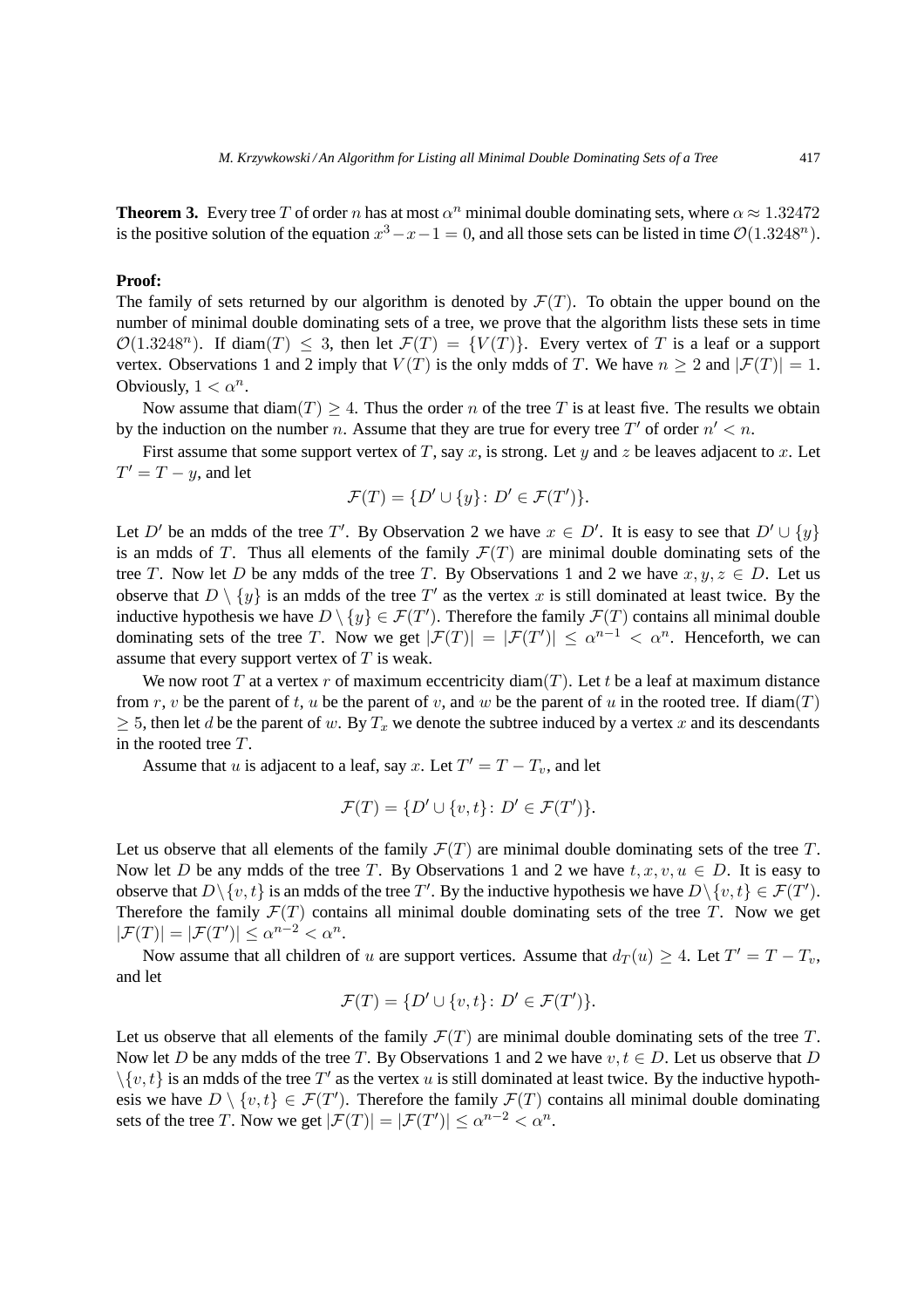**Theorem 3.** Every tree T of order n has at most  $\alpha^n$  minimal double dominating sets, where  $\alpha \approx 1.32472$ is the positive solution of the equation  $x^3 - x - 1 = 0$ , and all those sets can be listed in time  $\mathcal{O}(1.3248^n)$ .

#### **Proof:**

The family of sets returned by our algorithm is denoted by  $\mathcal{F}(T)$ . To obtain the upper bound on the number of minimal double dominating sets of a tree, we prove that the algorithm lists these sets in time  $\mathcal{O}(1.3248^n)$ . If diam(T)  $\leq$  3, then let  $\mathcal{F}(T) = \{V(T)\}\$ . Every vertex of T is a leaf or a support vertex. Observations 1 and 2 imply that  $V(T)$  is the only mdds of T. We have  $n \ge 2$  and  $|\mathcal{F}(T)| = 1$ . Obviously,  $1 < \alpha^n$ .

Now assume that  $\text{diam}(T) > 4$ . Thus the order n of the tree T is at least five. The results we obtain by the induction on the number n. Assume that they are true for every tree T' of order  $n' < n$ .

First assume that some support vertex of T, say x, is strong. Let y and z be leaves adjacent to x. Let  $T' = T - y$ , and let

$$
\mathcal{F}(T) = \{ D' \cup \{y\} \colon D' \in \mathcal{F}(T') \}.
$$

Let D' be an mdds of the tree T'. By Observation 2 we have  $x \in D'$ . It is easy to see that  $D' \cup \{y\}$ is an mdds of T. Thus all elements of the family  $\mathcal{F}(T)$  are minimal double dominating sets of the tree T. Now let D be any mdds of the tree T. By Observations 1 and 2 we have  $x, y, z \in D$ . Let us observe that  $D \setminus \{y\}$  is an mdds of the tree T' as the vertex x is still dominated at least twice. By the inductive hypothesis we have  $D \setminus \{y\} \in \mathcal{F}(T')$ . Therefore the family  $\mathcal{F}(T)$  contains all minimal double dominating sets of the tree T. Now we get  $|\mathcal{F}(T)| = |\mathcal{F}(T')| \leq \alpha^{n-1} < \alpha^n$ . Henceforth, we can assume that every support vertex of  $T$  is weak.

We now root T at a vertex r of maximum eccentricity diam(T). Let t be a leaf at maximum distance from r, v be the parent of t, u be the parent of v, and w be the parent of u in the rooted tree. If diam(T)  $\geq$  5, then let d be the parent of w. By  $T_x$  we denote the subtree induced by a vertex x and its descendants in the rooted tree T.

Assume that u is adjacent to a leaf, say x. Let  $T' = T - T_v$ , and let

$$
\mathcal{F}(T) = \{D' \cup \{v,t\} \colon D' \in \mathcal{F}(T')\}.
$$

Let us observe that all elements of the family  $\mathcal{F}(T)$  are minimal double dominating sets of the tree T. Now let D be any mdds of the tree T. By Observations 1 and 2 we have  $t, x, v, u \in D$ . It is easy to observe that  $D \setminus \{v, t\}$  is an mdds of the tree T'. By the inductive hypothesis we have  $D \setminus \{v, t\} \in \mathcal{F}(T')$ . Therefore the family  $\mathcal{F}(T)$  contains all minimal double dominating sets of the tree T. Now we get  $|\mathcal{F}(T)| = |\mathcal{F}(T')| \leq \alpha^{n-2} < \alpha^n$ .

Now assume that all children of u are support vertices. Assume that  $d_T(u) \geq 4$ . Let  $T' = T - T_v$ , and let

$$
\mathcal{F}(T)=\{D'\cup\{v,t\}\colon D'\in\mathcal{F}(T')\}.
$$

Let us observe that all elements of the family  $\mathcal{F}(T)$  are minimal double dominating sets of the tree T. Now let D be any mdds of the tree T. By Observations 1 and 2 we have  $v, t \in D$ . Let us observe that D  $\setminus \{v, t\}$  is an mdds of the tree T' as the vertex u is still dominated at least twice. By the inductive hypothesis we have  $D \setminus \{v, t\} \in \mathcal{F}(T')$ . Therefore the family  $\mathcal{F}(T)$  contains all minimal double dominating sets of the tree T. Now we get  $|\mathcal{F}(T)| = |\mathcal{F}(T')| \leq \alpha^{n-2} < \alpha^n$ .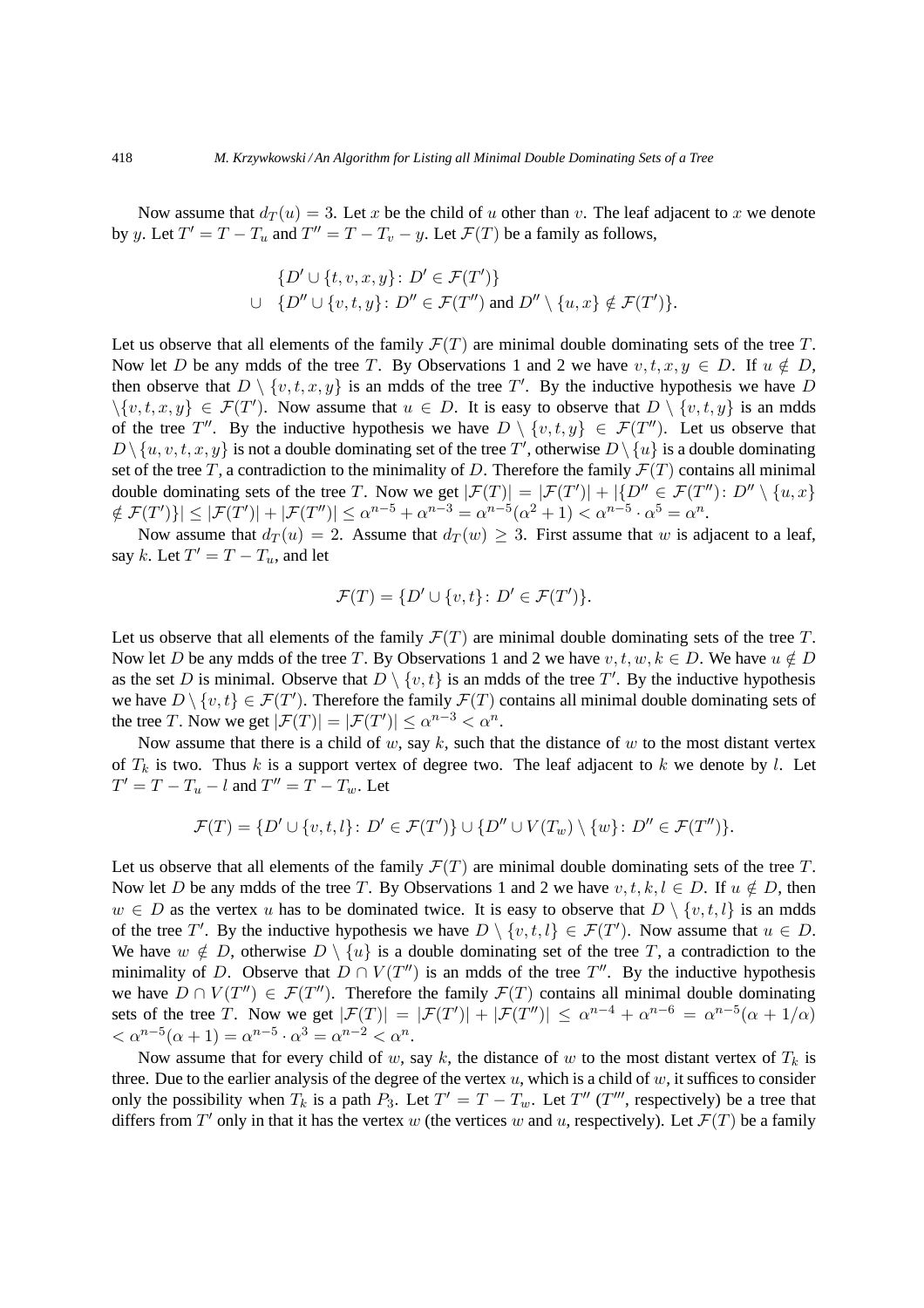Now assume that  $d_T(u) = 3$ . Let x be the child of u other than v. The leaf adjacent to x we denote by y. Let  $T' = T - T_u$  and  $T'' = T - T_v - y$ . Let  $\mathcal{F}(T)$  be a family as follows,

$$
\{D' \cup \{t, v, x, y\} \colon D' \in \mathcal{F}(T')\}
$$
  

$$
\cup \{D'' \cup \{v, t, y\} \colon D'' \in \mathcal{F}(T'')
$$
 and 
$$
D'' \setminus \{u, x\} \notin \mathcal{F}(T')\}.
$$

Let us observe that all elements of the family  $\mathcal{F}(T)$  are minimal double dominating sets of the tree T. Now let D be any mdds of the tree T. By Observations 1 and 2 we have  $v, t, x, y \in D$ . If  $u \notin D$ , then observe that  $D \setminus \{v, t, x, y\}$  is an mdds of the tree T'. By the inductive hypothesis we have D  $\{(v, t, x, y) \in \mathcal{F}(T')\}$ . Now assume that  $u \in D$ . It is easy to observe that  $D \setminus \{v, t, y\}$  is an mdds of the tree T''. By the inductive hypothesis we have  $D \setminus \{v, t, y\} \in \mathcal{F}(T'')$ . Let us observe that  $D \setminus \{u, v, t, x, y\}$  is not a double dominating set of the tree  $T'$ , otherwise  $D \setminus \{u\}$  is a double dominating set of the tree T, a contradiction to the minimality of D. Therefore the family  $\mathcal{F}(T)$  contains all minimal double dominating sets of the tree T. Now we get  $|\mathcal{F}(T)| = |\mathcal{F}(T')| + |\{D'' \in \mathcal{F}(T'') : D'' \setminus \{u, x\}\}|$  $\{ \mathcal{F}(T') \} \leq |\mathcal{F}(T')| + |\mathcal{F}(T'')| \leq \alpha^{n-5} + \alpha^{n-3} = \alpha^{n-5}(\alpha^2 + 1) < \alpha^{n-5} \cdot \alpha^5 = \alpha^n.$ 

Now assume that  $d_T(u) = 2$ . Assume that  $d_T(w) \geq 3$ . First assume that w is adjacent to a leaf, say k. Let  $T' = T - T_u$ , and let

$$
\mathcal{F}(T) = \{ D' \cup \{v, t\} \colon D' \in \mathcal{F}(T') \}.
$$

Let us observe that all elements of the family  $\mathcal{F}(T)$  are minimal double dominating sets of the tree T. Now let D be any mdds of the tree T. By Observations 1 and 2 we have  $v, t, w, k \in D$ . We have  $u \notin D$ as the set D is minimal. Observe that  $D \setminus \{v, t\}$  is an mdds of the tree T'. By the inductive hypothesis we have  $D \setminus \{v, t\} \in \mathcal{F}(T')$ . Therefore the family  $\mathcal{F}(T)$  contains all minimal double dominating sets of the tree T. Now we get  $|\mathcal{F}(T)| = |\mathcal{F}(T')| \leq \alpha^{n-3} < \alpha^n$ .

Now assume that there is a child of  $w$ , say  $k$ , such that the distance of  $w$  to the most distant vertex of  $T_k$  is two. Thus k is a support vertex of degree two. The leaf adjacent to k we denote by l. Let  $T' = T - T_u - l$  and  $T'' = T - T_w$ . Let

$$
\mathcal{F}(T) = \{D' \cup \{v,t,l\} \colon D' \in \mathcal{F}(T')\} \cup \{D'' \cup V(T_w) \setminus \{w\} \colon D'' \in \mathcal{F}(T'')\}.
$$

Let us observe that all elements of the family  $\mathcal{F}(T)$  are minimal double dominating sets of the tree T. Now let D be any mdds of the tree T. By Observations 1 and 2 we have  $v, t, k, l \in D$ . If  $u \notin D$ , then  $w \in D$  as the vertex u has to be dominated twice. It is easy to observe that  $D \setminus \{v, t, l\}$  is an mdds of the tree T'. By the inductive hypothesis we have  $D \setminus \{v, t, l\} \in \mathcal{F}(T')$ . Now assume that  $u \in D$ . We have  $w \notin D$ , otherwise  $D \setminus \{u\}$  is a double dominating set of the tree T, a contradiction to the minimality of D. Observe that  $D \cap V(T'')$  is an mdds of the tree  $T''$ . By the inductive hypothesis we have  $D \cap V(T'') \in \mathcal{F}(T'')$ . Therefore the family  $\mathcal{F}(T)$  contains all minimal double dominating sets of the tree T. Now we get  $|\mathcal{F}(T)| = |\mathcal{F}(T')| + |\mathcal{F}(T'')| \leq \alpha^{n-4} + \alpha^{n-6} = \alpha^{n-5}(\alpha + 1/\alpha)$  $< \alpha^{n-5}(\alpha + 1) = \alpha^{n-5} \cdot \alpha^3 = \alpha^{n-2} < \alpha^n$ .

Now assume that for every child of w, say k, the distance of w to the most distant vertex of  $T_k$  is three. Due to the earlier analysis of the degree of the vertex  $u$ , which is a child of  $w$ , it suffices to consider only the possibility when  $T_k$  is a path  $P_3$ . Let  $T' = T - T_w$ . Let  $T''$  ( $T'''$ , respectively) be a tree that differs from T' only in that it has the vertex w (the vertices w and u, respectively). Let  $\mathcal{F}(T)$  be a family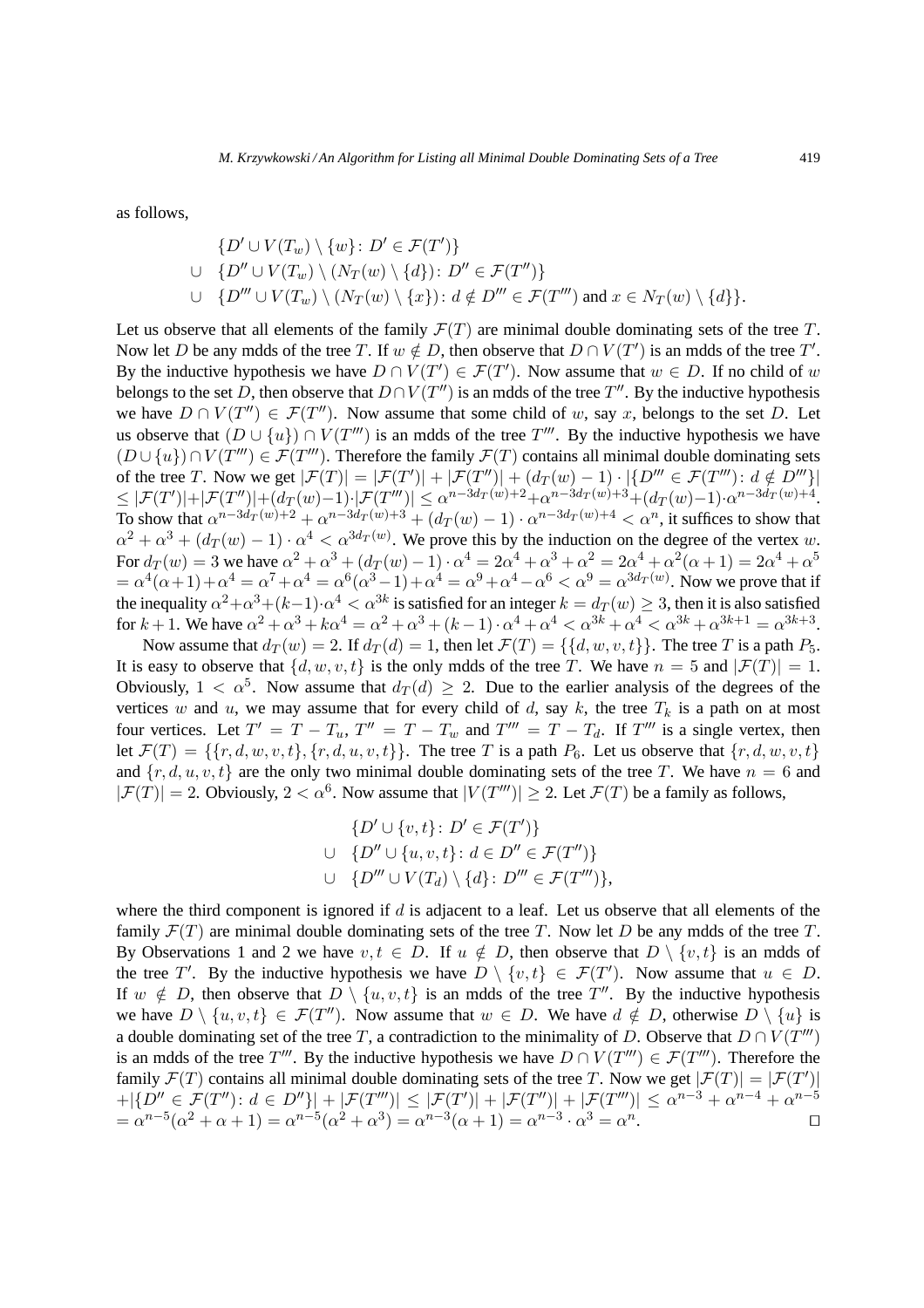as follows,

$$
\{D' \cup V(T_w) \setminus \{w\} \colon D' \in \mathcal{F}(T')\}
$$
  

$$
\cup \{D'' \cup V(T_w) \setminus (N_T(w) \setminus \{d\}) \colon D'' \in \mathcal{F}(T'')\}
$$
  

$$
\cup \{D''' \cup V(T_w) \setminus (N_T(w) \setminus \{x\}) \colon d \notin D''' \in \mathcal{F}(T''') \text{ and } x \in N_T(w) \setminus \{d\} \}.
$$

Let us observe that all elements of the family  $\mathcal{F}(T)$  are minimal double dominating sets of the tree T. Now let D be any mdds of the tree T. If  $w \notin D$ , then observe that  $D \cap V(T')$  is an mdds of the tree T'. By the inductive hypothesis we have  $D \cap V(T') \in \mathcal{F}(T')$ . Now assume that  $w \in D$ . If no child of w belongs to the set D, then observe that  $D \cap V(T'')$  is an mdds of the tree  $T''$ . By the inductive hypothesis we have  $D \cap V(T'') \in \mathcal{F}(T'')$ . Now assume that some child of w, say x, belongs to the set D. Let us observe that  $(D \cup \{u\}) \cap V(T''')$  is an mdds of the tree  $T'''$ . By the inductive hypothesis we have  $(D \cup \{u\}) \cap V(T''') \in \mathcal{F}(T''')$ . Therefore the family  $\mathcal{F}(T)$  contains all minimal double dominating sets of the tree T. Now we get  $|\mathcal{F}(T)| = |\mathcal{F}(T')| + |\mathcal{F}(T'')| + (d_T(w) - 1) \cdot |\{D'''' \in \mathcal{F}(T''') : d \notin D''''\}|$  $\leq |\mathcal{F}(T')| + |\mathcal{F}(T'')| + (d_T(w)-1) \cdot |\mathcal{F}(T''')| \leq \alpha^{n-3d_T(w)+2} + \alpha^{n-3d_T(w)+3} + (d_T(w)-1) \cdot \alpha^{n-3d_T(w)+4}.$ To show that  $\alpha^{n-3d_T(w)+2} + \alpha^{n-3d_T(w)+3} + (d_T(w)-1) \cdot \alpha^{n-3d_T(w)+4} < \alpha^n$ , it suffices to show that  $\alpha^2 + \alpha^3 + (d_T(w) - 1) \cdot \alpha^4 < \alpha^{3d_T(w)}$ . We prove this by the induction on the degree of the vertex w. For  $d_T(w) = 3$  we have  $\alpha^2 + \alpha^3 + (d_T(w) - 1) \cdot \alpha^4 = 2\alpha^4 + \alpha^3 + \alpha^2 = 2\alpha^4 + \alpha^2(\alpha + 1) = 2\alpha^4 + \alpha^5$  $= \alpha^4(\alpha+1) + \alpha^4 = \alpha^7 + \alpha^4 = \alpha^6(\alpha^3-1) + \alpha^4 = \alpha^9 + \alpha^4 - \alpha^6 < \alpha^9 = \alpha^{3d}(\alpha^9)$ . Now we prove that if the inequality  $\alpha^2 + \alpha^3 + (k-1) \cdot \alpha^4 < \alpha^{3k}$  is satisfied for an integer  $k = d_T(w) \geq 3$ , then it is also satisfied for  $k + 1$ . We have  $\alpha^2 + \alpha^3 + k\alpha^4 = \alpha^2 + \alpha^3 + (k - 1) \cdot \alpha^4 + \alpha^4 < \alpha^{3k} + \alpha^4 < \alpha^{3k} + \alpha^{3k+1} = \alpha^{3k+3}$ .

Now assume that  $d_T(w) = 2$ . If  $d_T(d) = 1$ , then let  $\mathcal{F}(T) = \{\{d, w, v, t\}\}\$ . The tree T is a path  $P_5$ . It is easy to observe that  $\{d, w, v, t\}$  is the only mdds of the tree T. We have  $n = 5$  and  $|\mathcal{F}(T)| = 1$ . Obviously,  $1 < \alpha^5$ . Now assume that  $d_T(d) \geq 2$ . Due to the earlier analysis of the degrees of the vertices w and u, we may assume that for every child of d, say k, the tree  $T_k$  is a path on at most four vertices. Let  $T' = T - T_u$ ,  $T'' = T - T_w$  and  $T''' = T - T_d$ . If  $T'''$  is a single vertex, then let  $\mathcal{F}(T) = \{\{r, d, w, v, t\}, \{r, d, u, v, t\}\}\$ . The tree T is a path  $P_6$ . Let us observe that  $\{r, d, w, v, t\}$ and  $\{r, d, u, v, t\}$  are the only two minimal double dominating sets of the tree T. We have  $n = 6$  and  $|\mathcal{F}(T)| = 2$ . Obviously,  $2 < \alpha^6$ . Now assume that  $|V(T''')| \ge 2$ . Let  $\mathcal{F}(T)$  be a family as follows,

$$
\{D' \cup \{v,t\} \colon D' \in \mathcal{F}(T')\}
$$
  

$$
\cup \{D'' \cup \{u,v,t\} \colon d \in D'' \in \mathcal{F}(T'')\}
$$
  

$$
\cup \{D''' \cup V(T_d) \setminus \{d\} \colon D''' \in \mathcal{F}(T''')\},
$$

where the third component is ignored if  $d$  is adjacent to a leaf. Let us observe that all elements of the family  $\mathcal{F}(T)$  are minimal double dominating sets of the tree T. Now let D be any mdds of the tree T. By Observations 1 and 2 we have  $v, t \in D$ . If  $u \notin D$ , then observe that  $D \setminus \{v, t\}$  is an mdds of the tree T'. By the inductive hypothesis we have  $D \setminus \{v, t\} \in \mathcal{F}(T')$ . Now assume that  $u \in D$ . If  $w \notin D$ , then observe that  $D \setminus \{u, v, t\}$  is an mdds of the tree T''. By the inductive hypothesis we have  $D \setminus \{u, v, t\} \in \mathcal{F}(T'')$ . Now assume that  $w \in D$ . We have  $d \notin D$ , otherwise  $D \setminus \{u\}$  is a double dominating set of the tree T, a contradiction to the minimality of D. Observe that  $D \cap V(T''')$ is an mdds of the tree  $T'''$ . By the inductive hypothesis we have  $D \cap V(T''') \in \mathcal{F}(T''')$ . Therefore the family  $\mathcal{F}(T)$  contains all minimal double dominating sets of the tree T. Now we get  $|\mathcal{F}(T)| = |\mathcal{F}(T')|$  $+|\{D''\in \mathcal{F}(T'') : d\in D''\}| + |\mathcal{F}(T''')| \leq |\mathcal{F}(T')| + |\mathcal{F}(T'')| + |\mathcal{F}(T''')| \leq \alpha^{n-3} + \alpha^{n-4} + \alpha^{n-5}$ =  $\alpha^{n-5}(\alpha^2 + \alpha + 1) = \alpha^{n-5}(\alpha^2 + \alpha^3) = \alpha^{n-3}(\alpha + 1) = \alpha^{n-3} \cdot \alpha^3 = \alpha^n$ . ⊓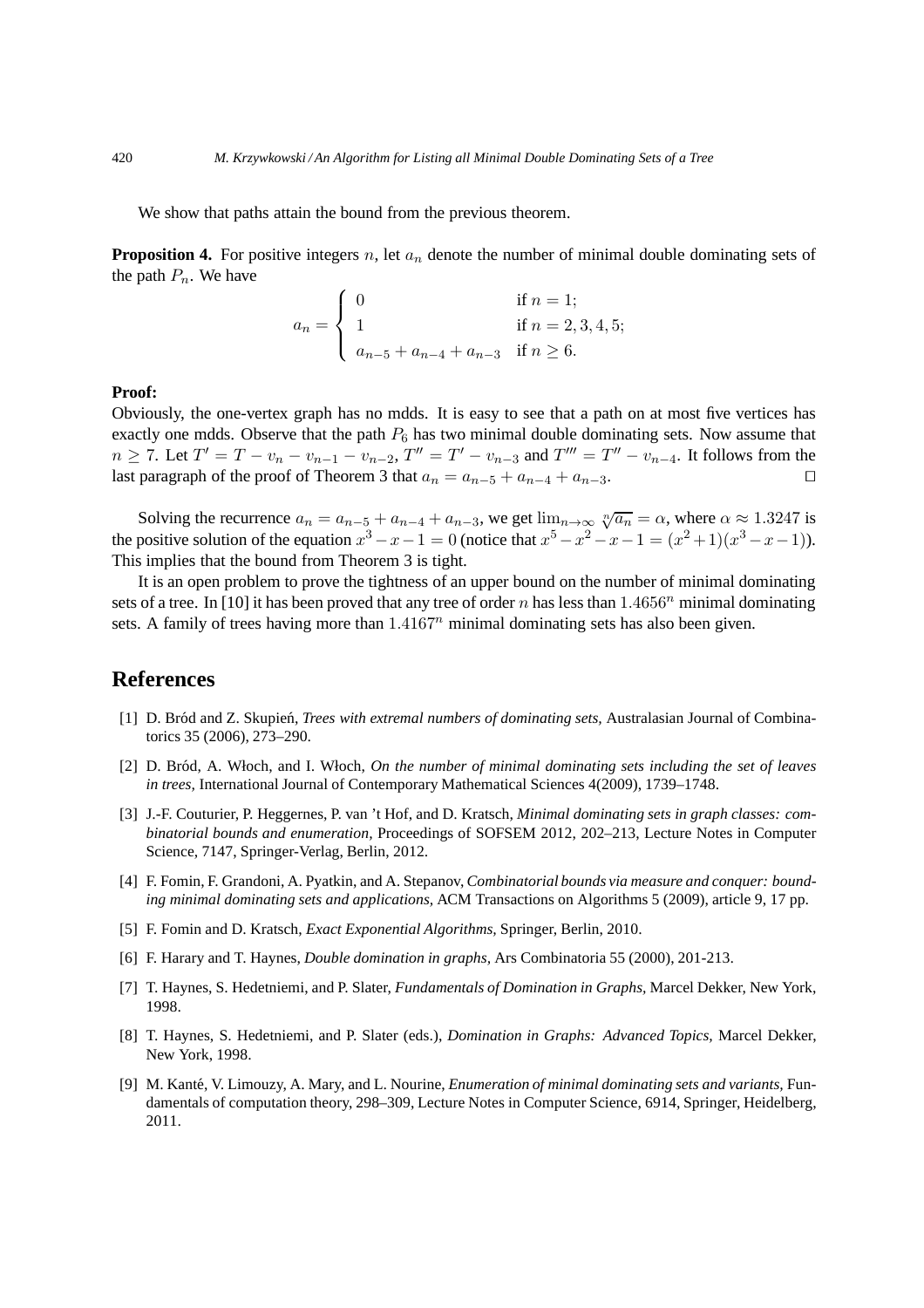We show that paths attain the bound from the previous theorem.

**Proposition 4.** For positive integers n, let  $a_n$  denote the number of minimal double dominating sets of the path  $P_n$ . We have

$$
a_n = \begin{cases} 0 & \text{if } n = 1; \\ 1 & \text{if } n = 2, 3, 4, 5; \\ a_{n-5} + a_{n-4} + a_{n-3} & \text{if } n \ge 6. \end{cases}
$$

### **Proof:**

Obviously, the one-vertex graph has no mdds. It is easy to see that a path on at most five vertices has exactly one mdds. Observe that the path  $P_6$  has two minimal double dominating sets. Now assume that  $n \ge 7$ . Let  $T' = T - v_n - v_{n-1} - v_{n-2}$ ,  $T'' = T' - v_{n-3}$  and  $T''' = T'' - v_{n-4}$ . It follows from the last paragraph of the proof of Theorem 3 that  $a_n = a_{n-5} + a_{n-4} + a_{n-3}$ . □

Solving the recurrence  $a_n = a_{n-5} + a_{n-4} + a_{n-3}$ , we get  $\lim_{n\to\infty} \sqrt[n]{a_n} = \alpha$ , where  $\alpha \approx 1.3247$  is the positive solution of the equation  $x^3 - x - 1 = 0$  (notice that  $x^5 - x^2 - x - 1 = (x^2 + 1)(x^3 - x - 1)$ ). This implies that the bound from Theorem 3 is tight.

It is an open problem to prove the tightness of an upper bound on the number of minimal dominating sets of a tree. In [10] it has been proved that any tree of order n has less than  $1.4656^n$  minimal dominating sets. A family of trees having more than  $1.4167<sup>n</sup>$  minimal dominating sets has also been given.

# **References**

- [1] D. Bród and Z. Skupień, *Trees with extremal numbers of dominating sets*, Australasian Journal of Combinatorics 35 (2006), 273–290.
- [2] D. Br´od, A. Włoch, and I. Włoch, *On the number of minimal dominating sets including the set of leaves in trees,* International Journal of Contemporary Mathematical Sciences 4(2009), 1739–1748.
- [3] J.-F. Couturier, P. Heggernes, P. van 't Hof, and D. Kratsch, *Minimal dominating sets in graph classes: combinatorial bounds and enumeration,* Proceedings of SOFSEM 2012, 202–213, Lecture Notes in Computer Science, 7147, Springer-Verlag, Berlin, 2012.
- [4] F. Fomin, F. Grandoni, A. Pyatkin, and A. Stepanov, *Combinatorial bounds via measure and conquer: bounding minimal dominating sets and applications,* ACM Transactions on Algorithms 5 (2009), article 9, 17 pp.
- [5] F. Fomin and D. Kratsch, *Exact Exponential Algorithms,* Springer, Berlin, 2010.
- [6] F. Harary and T. Haynes, *Double domination in graphs,* Ars Combinatoria 55 (2000), 201-213.
- [7] T. Haynes, S. Hedetniemi, and P. Slater, *Fundamentals of Domination in Graphs,* Marcel Dekker, New York, 1998.
- [8] T. Haynes, S. Hedetniemi, and P. Slater (eds.), *Domination in Graphs: Advanced Topics,* Marcel Dekker, New York, 1998.
- [9] M. Kant´e, V. Limouzy, A. Mary, and L. Nourine, *Enumeration of minimal dominating sets and variants,* Fundamentals of computation theory, 298–309, Lecture Notes in Computer Science, 6914, Springer, Heidelberg, 2011.